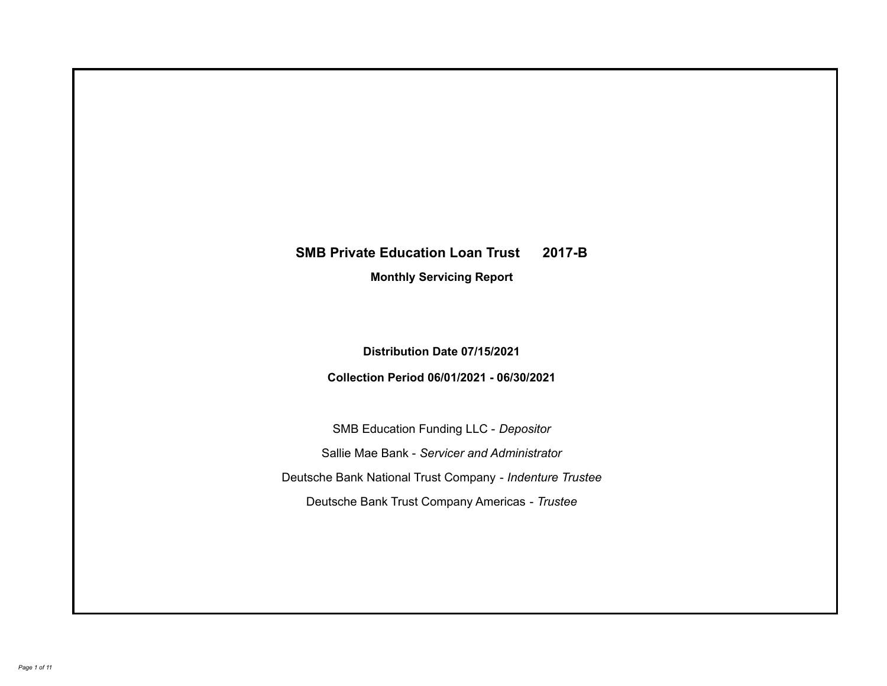# **SMB Private Education Loan Trust 2017-B**

**Monthly Servicing Report**

**Distribution Date 07/15/2021**

**Collection Period 06/01/2021 - 06/30/2021**

SMB Education Funding LLC - *Depositor* Sallie Mae Bank - *Servicer and Administrator* Deutsche Bank National Trust Company - *Indenture Trustee* Deutsche Bank Trust Company Americas - *Trustee*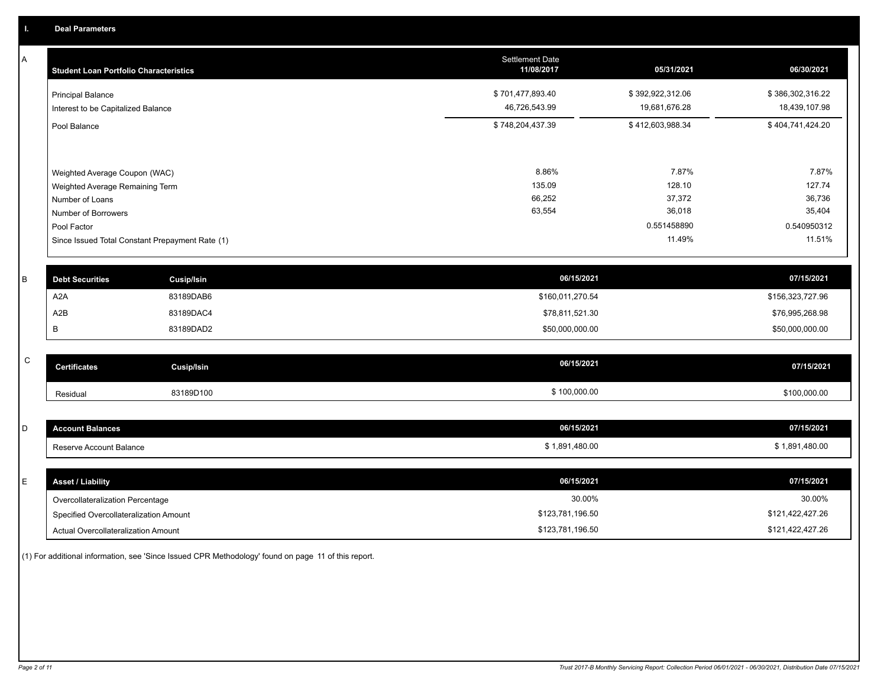A

| A           | <b>Student Loan Portfolio Characteristics</b> |                                                 | <b>Settlement Date</b><br>11/08/2017 | 05/31/2021       | 06/30/2021       |
|-------------|-----------------------------------------------|-------------------------------------------------|--------------------------------------|------------------|------------------|
|             | <b>Principal Balance</b>                      |                                                 | \$701,477,893.40                     | \$392,922,312.06 | \$386,302,316.22 |
|             | Interest to be Capitalized Balance            |                                                 | 46,726,543.99                        | 19,681,676.28    | 18,439,107.98    |
|             | Pool Balance                                  |                                                 | \$748,204,437.39                     | \$412,603,988.34 | \$404,741,424.20 |
|             |                                               |                                                 |                                      |                  |                  |
|             | Weighted Average Coupon (WAC)                 |                                                 | 8.86%                                | 7.87%            | 7.87%            |
|             | Weighted Average Remaining Term               |                                                 | 135.09                               | 128.10           | 127.74           |
|             | Number of Loans                               |                                                 | 66,252                               | 37,372           | 36,736           |
|             | Number of Borrowers                           |                                                 | 63,554                               | 36,018           | 35,404           |
|             | Pool Factor                                   |                                                 |                                      | 0.551458890      | 0.540950312      |
|             |                                               | Since Issued Total Constant Prepayment Rate (1) |                                      | 11.49%           | 11.51%           |
|             |                                               |                                                 |                                      |                  |                  |
| B           | <b>Debt Securities</b>                        | <b>Cusip/Isin</b>                               | 06/15/2021                           |                  | 07/15/2021       |
|             | A <sub>2</sub> A                              | 83189DAB6                                       | \$160,011,270.54                     |                  | \$156,323,727.96 |
|             | A <sub>2</sub> B                              | 83189DAC4                                       | \$78,811,521.30                      |                  | \$76,995,268.98  |
|             | В                                             | 83189DAD2                                       | \$50,000,000.00                      |                  | \$50,000,000.00  |
|             |                                               |                                                 |                                      |                  |                  |
| $\mathsf C$ | <b>Certificates</b>                           | <b>Cusip/Isin</b>                               | 06/15/2021                           |                  | 07/15/2021       |
|             | Residual                                      | 83189D100                                       | \$100,000.00                         |                  | \$100,000.00     |
|             |                                               |                                                 |                                      |                  |                  |
| D           | <b>Account Balances</b>                       |                                                 | 06/15/2021                           |                  | 07/15/2021       |
|             | Reserve Account Balance                       |                                                 | \$1,891,480.00                       |                  | \$1,891,480.00   |

| <b>Asset / Liability</b>               | 06/15/2021       | 07/15/2021       |
|----------------------------------------|------------------|------------------|
| Overcollateralization Percentage       | 30.00%           | 30.00%           |
| Specified Overcollateralization Amount | \$123,781,196.50 | \$121,422,427.26 |
| Actual Overcollateralization Amount    | \$123,781,196.50 | \$121,422,427.26 |

(1) For additional information, see 'Since Issued CPR Methodology' found on page 11 of this report.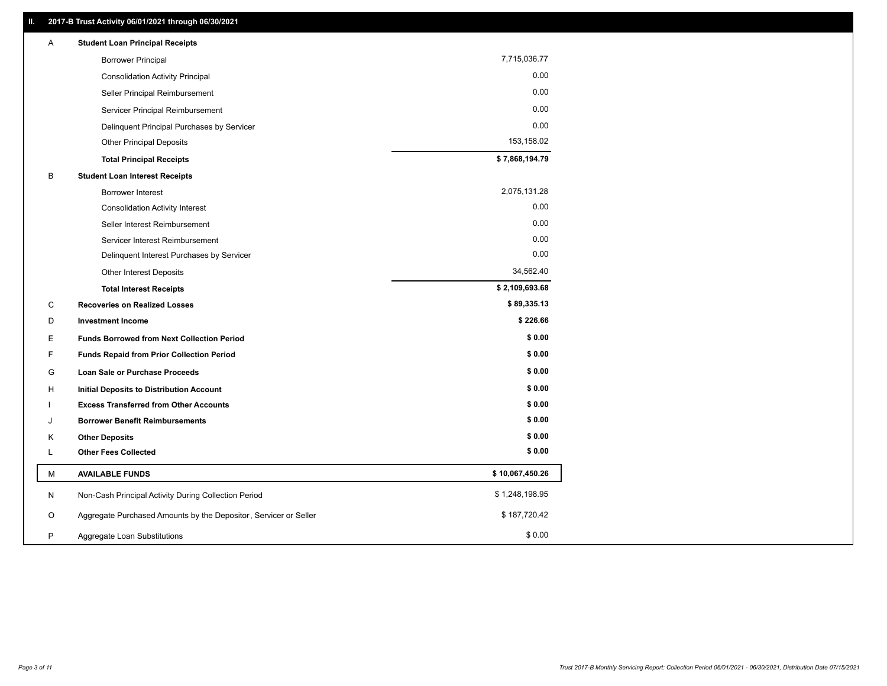| Α | <b>Student Loan Principal Receipts</b>                           |                 |
|---|------------------------------------------------------------------|-----------------|
|   | <b>Borrower Principal</b>                                        | 7,715,036.77    |
|   | <b>Consolidation Activity Principal</b>                          | 0.00            |
|   | Seller Principal Reimbursement                                   | 0.00            |
|   | Servicer Principal Reimbursement                                 | 0.00            |
|   | Delinquent Principal Purchases by Servicer                       | 0.00            |
|   | <b>Other Principal Deposits</b>                                  | 153,158.02      |
|   | <b>Total Principal Receipts</b>                                  | \$7,868,194.79  |
| В | <b>Student Loan Interest Receipts</b>                            |                 |
|   | <b>Borrower Interest</b>                                         | 2,075,131.28    |
|   | <b>Consolidation Activity Interest</b>                           | 0.00            |
|   | Seller Interest Reimbursement                                    | 0.00            |
|   | Servicer Interest Reimbursement                                  | 0.00            |
|   | Delinquent Interest Purchases by Servicer                        | 0.00            |
|   | <b>Other Interest Deposits</b>                                   | 34,562.40       |
|   | <b>Total Interest Receipts</b>                                   | \$2,109,693.68  |
| C | <b>Recoveries on Realized Losses</b>                             | \$89,335.13     |
| D | <b>Investment Income</b>                                         | \$226.66        |
| Е | <b>Funds Borrowed from Next Collection Period</b>                | \$0.00          |
| F | <b>Funds Repaid from Prior Collection Period</b>                 | \$0.00          |
| G | <b>Loan Sale or Purchase Proceeds</b>                            | \$0.00          |
| H | Initial Deposits to Distribution Account                         | \$0.00          |
|   | <b>Excess Transferred from Other Accounts</b>                    | \$0.00          |
| J | <b>Borrower Benefit Reimbursements</b>                           | \$0.00          |
| Κ | <b>Other Deposits</b>                                            | \$0.00          |
| L | <b>Other Fees Collected</b>                                      | \$0.00          |
| М | <b>AVAILABLE FUNDS</b>                                           | \$10,067,450.26 |
| N | Non-Cash Principal Activity During Collection Period             | \$1,248,198.95  |
| O | Aggregate Purchased Amounts by the Depositor, Servicer or Seller | \$187,720.42    |
| P | Aggregate Loan Substitutions                                     | \$0.00          |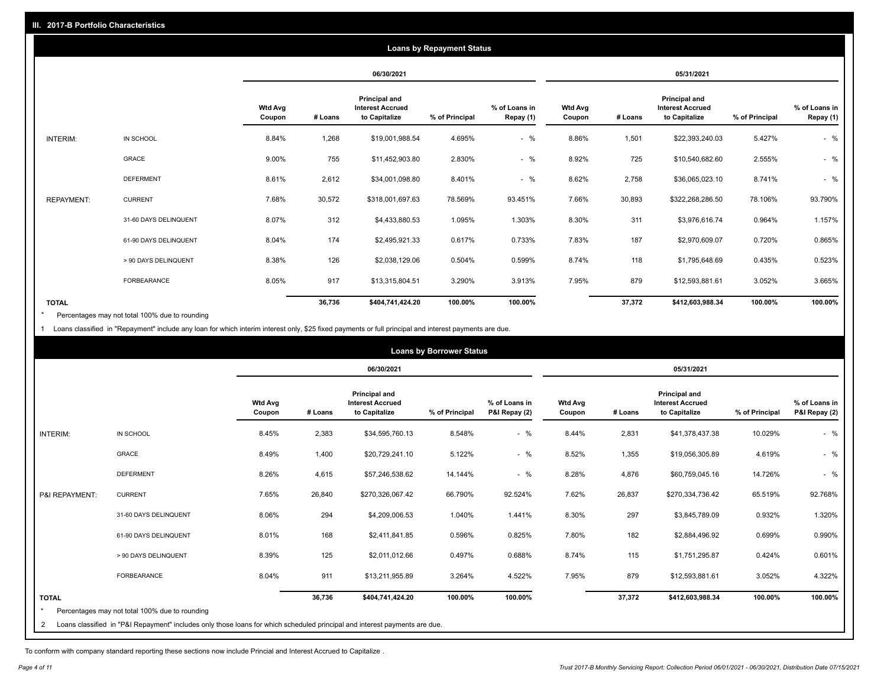| <b>Loans by Repayment Status</b> |                       |                          |         |                                                           |                |                            |                          |         |                                                                  |                |                            |
|----------------------------------|-----------------------|--------------------------|---------|-----------------------------------------------------------|----------------|----------------------------|--------------------------|---------|------------------------------------------------------------------|----------------|----------------------------|
|                                  |                       |                          |         | 06/30/2021                                                |                |                            | 05/31/2021               |         |                                                                  |                |                            |
|                                  |                       | <b>Wtd Avg</b><br>Coupon | # Loans | Principal and<br><b>Interest Accrued</b><br>to Capitalize | % of Principal | % of Loans in<br>Repay (1) | <b>Wtd Avg</b><br>Coupon | # Loans | <b>Principal and</b><br><b>Interest Accrued</b><br>to Capitalize | % of Principal | % of Loans in<br>Repay (1) |
| INTERIM:                         | IN SCHOOL             | 8.84%                    | 1,268   | \$19,001,988.54                                           | 4.695%         | $-$ %                      | 8.86%                    | 1,501   | \$22,393,240.03                                                  | 5.427%         | $-$ %                      |
|                                  | <b>GRACE</b>          | 9.00%                    | 755     | \$11,452,903.80                                           | 2.830%         | $-$ %                      | 8.92%                    | 725     | \$10,540,682.60                                                  | 2.555%         | $-$ %                      |
|                                  | <b>DEFERMENT</b>      | 8.61%                    | 2,612   | \$34,001,098.80                                           | 8.401%         | $-$ %                      | 8.62%                    | 2,758   | \$36,065,023.10                                                  | 8.741%         | $-$ %                      |
| <b>REPAYMENT:</b>                | <b>CURRENT</b>        | 7.68%                    | 30,572  | \$318,001,697.63                                          | 78.569%        | 93.451%                    | 7.66%                    | 30,893  | \$322,268,286.50                                                 | 78.106%        | 93.790%                    |
|                                  | 31-60 DAYS DELINQUENT | 8.07%                    | 312     | \$4,433,880.53                                            | 1.095%         | 1.303%                     | 8.30%                    | 311     | \$3,976,616.74                                                   | 0.964%         | 1.157%                     |
|                                  | 61-90 DAYS DELINQUENT | 8.04%                    | 174     | \$2,495,921.33                                            | 0.617%         | 0.733%                     | 7.83%                    | 187     | \$2,970,609.07                                                   | 0.720%         | 0.865%                     |
|                                  | > 90 DAYS DELINQUENT  | 8.38%                    | 126     | \$2,038,129.06                                            | 0.504%         | 0.599%                     | 8.74%                    | 118     | \$1,795,648.69                                                   | 0.435%         | 0.523%                     |
|                                  | <b>FORBEARANCE</b>    | 8.05%                    | 917     | \$13,315,804.51                                           | 3.290%         | 3.913%                     | 7.95%                    | 879     | \$12,593,881.61                                                  | 3.052%         | 3.665%                     |
| <b>TOTAL</b>                     |                       |                          | 36,736  | \$404,741,424.20                                          | 100.00%        | 100.00%                    |                          | 37,372  | \$412,603,988.34                                                 | 100.00%        | 100.00%                    |

Percentages may not total 100% due to rounding \*

1 Loans classified in "Repayment" include any loan for which interim interest only, \$25 fixed payments or full principal and interest payments are due.

|                |                                                                                                                            | <b>Loans by Borrower Status</b> |         |                                                           |                |                                |                          |         |                                                                  |                |                                |
|----------------|----------------------------------------------------------------------------------------------------------------------------|---------------------------------|---------|-----------------------------------------------------------|----------------|--------------------------------|--------------------------|---------|------------------------------------------------------------------|----------------|--------------------------------|
|                |                                                                                                                            |                                 |         | 06/30/2021                                                |                |                                |                          |         | 05/31/2021                                                       |                |                                |
|                |                                                                                                                            | <b>Wtd Avg</b><br>Coupon        | # Loans | Principal and<br><b>Interest Accrued</b><br>to Capitalize | % of Principal | % of Loans in<br>P&I Repay (2) | <b>Wtd Avg</b><br>Coupon | # Loans | <b>Principal and</b><br><b>Interest Accrued</b><br>to Capitalize | % of Principal | % of Loans in<br>P&I Repay (2) |
| INTERIM:       | IN SCHOOL                                                                                                                  | 8.45%                           | 2,383   | \$34,595,760.13                                           | 8.548%         | $-$ %                          | 8.44%                    | 2,831   | \$41,378,437.38                                                  | 10.029%        | $-$ %                          |
|                | <b>GRACE</b>                                                                                                               | 8.49%                           | 1,400   | \$20,729,241.10                                           | 5.122%         | $-$ %                          | 8.52%                    | 1,355   | \$19,056,305.89                                                  | 4.619%         | $-$ %                          |
|                | <b>DEFERMENT</b>                                                                                                           | 8.26%                           | 4,615   | \$57,246,538.62                                           | 14.144%        | $-$ %                          | 8.28%                    | 4,876   | \$60,759,045.16                                                  | 14.726%        | $-$ %                          |
| P&I REPAYMENT: | <b>CURRENT</b>                                                                                                             | 7.65%                           | 26,840  | \$270,326,067.42                                          | 66.790%        | 92.524%                        | 7.62%                    | 26,837  | \$270,334,736.42                                                 | 65.519%        | 92.768%                        |
|                | 31-60 DAYS DELINQUENT                                                                                                      | 8.06%                           | 294     | \$4,209,006.53                                            | 1.040%         | 1.441%                         | 8.30%                    | 297     | \$3,845,789.09                                                   | 0.932%         | 1.320%                         |
|                | 61-90 DAYS DELINQUENT                                                                                                      | 8.01%                           | 168     | \$2,411,841.85                                            | 0.596%         | 0.825%                         | 7.80%                    | 182     | \$2,884,496.92                                                   | 0.699%         | 0.990%                         |
|                | > 90 DAYS DELINQUENT                                                                                                       | 8.39%                           | 125     | \$2,011,012.66                                            | 0.497%         | 0.688%                         | 8.74%                    | 115     | \$1,751,295.87                                                   | 0.424%         | 0.601%                         |
|                | FORBEARANCE                                                                                                                | 8.04%                           | 911     | \$13,211,955.89                                           | 3.264%         | 4.522%                         | 7.95%                    | 879     | \$12,593,881.61                                                  | 3.052%         | 4.322%                         |
| <b>TOTAL</b>   |                                                                                                                            |                                 | 36,736  | \$404,741,424.20                                          | 100.00%        | 100.00%                        |                          | 37,372  | \$412,603,988.34                                                 | 100.00%        | 100.00%                        |
|                | Percentages may not total 100% due to rounding                                                                             |                                 |         |                                                           |                |                                |                          |         |                                                                  |                |                                |
| 2              | Loans classified in "P&I Repayment" includes only those loans for which scheduled principal and interest payments are due. |                                 |         |                                                           |                |                                |                          |         |                                                                  |                |                                |

To conform with company standard reporting these sections now include Princial and Interest Accrued to Capitalize .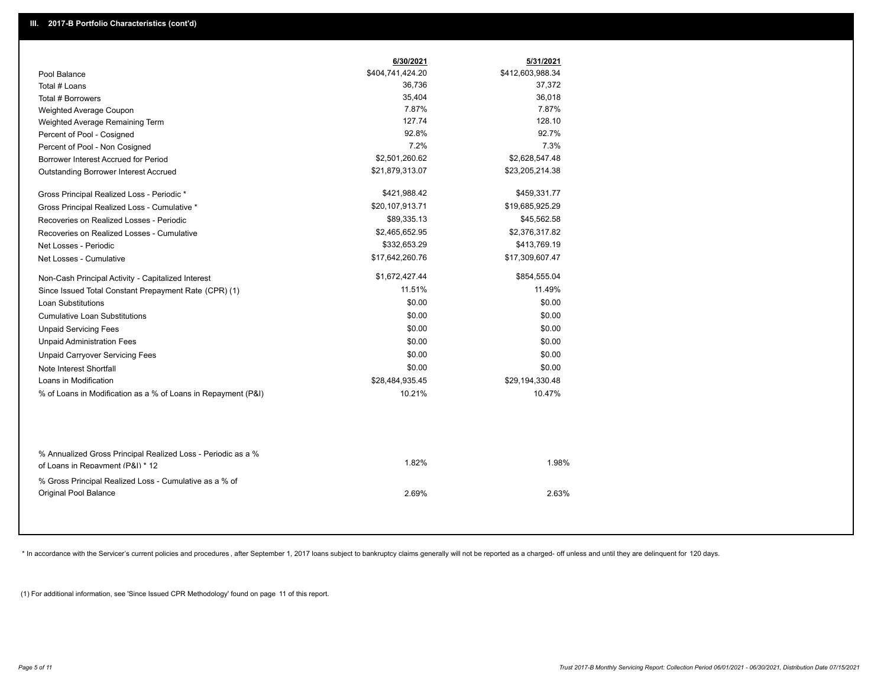|                                                                                                  | 6/30/2021        | 5/31/2021        |  |
|--------------------------------------------------------------------------------------------------|------------------|------------------|--|
| Pool Balance                                                                                     | \$404,741,424.20 | \$412,603,988.34 |  |
| Total # Loans                                                                                    | 36,736           | 37,372           |  |
| Total # Borrowers                                                                                | 35,404           | 36,018           |  |
| Weighted Average Coupon                                                                          | 7.87%            | 7.87%            |  |
| Weighted Average Remaining Term                                                                  | 127.74           | 128.10           |  |
| Percent of Pool - Cosigned                                                                       | 92.8%            | 92.7%            |  |
| Percent of Pool - Non Cosigned                                                                   | 7.2%             | 7.3%             |  |
| Borrower Interest Accrued for Period                                                             | \$2,501,260.62   | \$2,628,547.48   |  |
| Outstanding Borrower Interest Accrued                                                            | \$21,879,313.07  | \$23,205,214.38  |  |
| Gross Principal Realized Loss - Periodic *                                                       | \$421,988.42     | \$459,331.77     |  |
| Gross Principal Realized Loss - Cumulative *                                                     | \$20,107,913.71  | \$19,685,925.29  |  |
| Recoveries on Realized Losses - Periodic                                                         | \$89,335.13      | \$45,562.58      |  |
| Recoveries on Realized Losses - Cumulative                                                       | \$2,465,652.95   | \$2,376,317.82   |  |
| Net Losses - Periodic                                                                            | \$332,653.29     | \$413,769.19     |  |
| Net Losses - Cumulative                                                                          | \$17,642,260.76  | \$17,309,607.47  |  |
| Non-Cash Principal Activity - Capitalized Interest                                               | \$1,672,427.44   | \$854,555.04     |  |
| Since Issued Total Constant Prepayment Rate (CPR) (1)                                            | 11.51%           | 11.49%           |  |
| <b>Loan Substitutions</b>                                                                        | \$0.00           | \$0.00           |  |
| <b>Cumulative Loan Substitutions</b>                                                             | \$0.00           | \$0.00           |  |
| <b>Unpaid Servicing Fees</b>                                                                     | \$0.00           | \$0.00           |  |
| <b>Unpaid Administration Fees</b>                                                                | \$0.00           | \$0.00           |  |
| <b>Unpaid Carryover Servicing Fees</b>                                                           | \$0.00           | \$0.00           |  |
| Note Interest Shortfall                                                                          | \$0.00           | \$0.00           |  |
| Loans in Modification                                                                            | \$28,484,935.45  | \$29,194,330.48  |  |
| % of Loans in Modification as a % of Loans in Repayment (P&I)                                    | 10.21%           | 10.47%           |  |
|                                                                                                  |                  |                  |  |
| % Annualized Gross Principal Realized Loss - Periodic as a %<br>of Loans in Repayment (P&I) * 12 | 1.82%            | 1.98%            |  |
| % Gross Principal Realized Loss - Cumulative as a % of<br><b>Original Pool Balance</b>           | 2.69%            | 2.63%            |  |

\* In accordance with the Servicer's current policies and procedures, after September 1, 2017 loans subject to bankruptcy claims generally will not be reported as a charged- off unless and until they are delinquent for 120

(1) For additional information, see 'Since Issued CPR Methodology' found on page 11 of this report.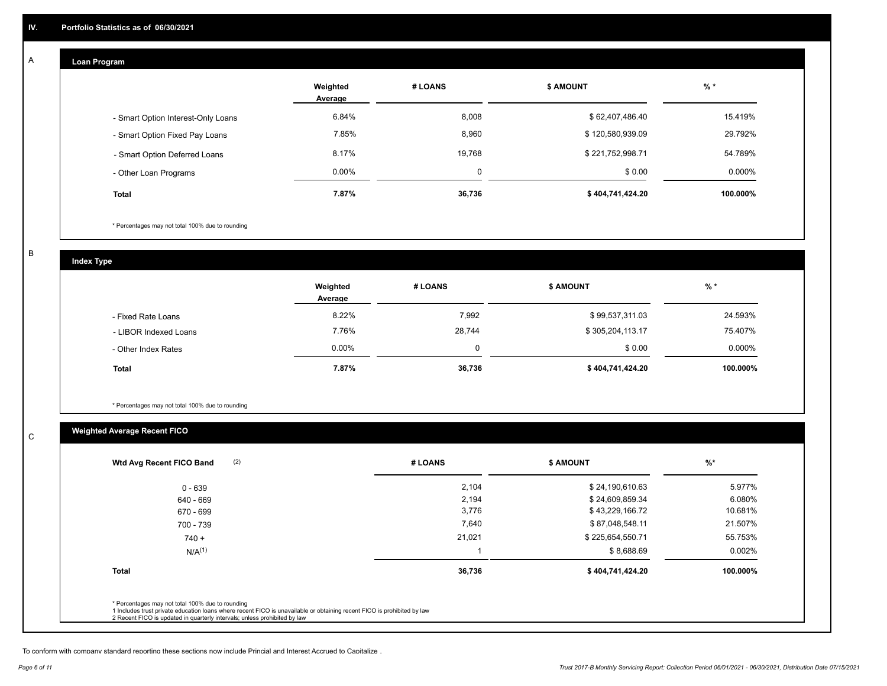#### **Loan Program**  A

|                                    | Weighted<br>Average | # LOANS  | <b>\$ AMOUNT</b> | $%$ *    |
|------------------------------------|---------------------|----------|------------------|----------|
| - Smart Option Interest-Only Loans | 6.84%               | 8,008    | \$62,407,486.40  | 15.419%  |
| - Smart Option Fixed Pay Loans     | 7.85%               | 8,960    | \$120,580,939.09 | 29.792%  |
| - Smart Option Deferred Loans      | 8.17%               | 19.768   | \$221,752,998.71 | 54.789%  |
| - Other Loan Programs              | $0.00\%$            | $\Omega$ | \$0.00           | 0.000%   |
| <b>Total</b>                       | 7.87%               | 36,736   | \$404,741,424.20 | 100.000% |

\* Percentages may not total 100% due to rounding

B

C

**Index Type**

|                       | Weighted<br>Average | # LOANS | <b>\$ AMOUNT</b> | $%$ *    |
|-----------------------|---------------------|---------|------------------|----------|
| - Fixed Rate Loans    | 8.22%               | 7,992   | \$99,537,311.03  | 24.593%  |
| - LIBOR Indexed Loans | 7.76%               | 28,744  | \$305,204,113.17 | 75.407%  |
| - Other Index Rates   | 0.00%               |         | \$0.00           | 0.000%   |
| <b>Total</b>          | 7.87%               | 36,736  | \$404,741,424.20 | 100.000% |

\* Percentages may not total 100% due to rounding

## **Weighted Average Recent FICO**

| 2,104  | \$24,190,610.63  | 5.977%    |
|--------|------------------|-----------|
| 2,194  | \$24,609,859.34  | 6.080%    |
| 3,776  | \$43,229,166.72  | 10.681%   |
| 7,640  | \$87,048,548.11  | 21.507%   |
| 21,021 | \$225,654,550.71 | 55.753%   |
|        | \$8,688.69       | $0.002\%$ |
| 36,736 | \$404,741,424.20 | 100.000%  |
|        |                  |           |

To conform with company standard reporting these sections now include Princial and Interest Accrued to Capitalize .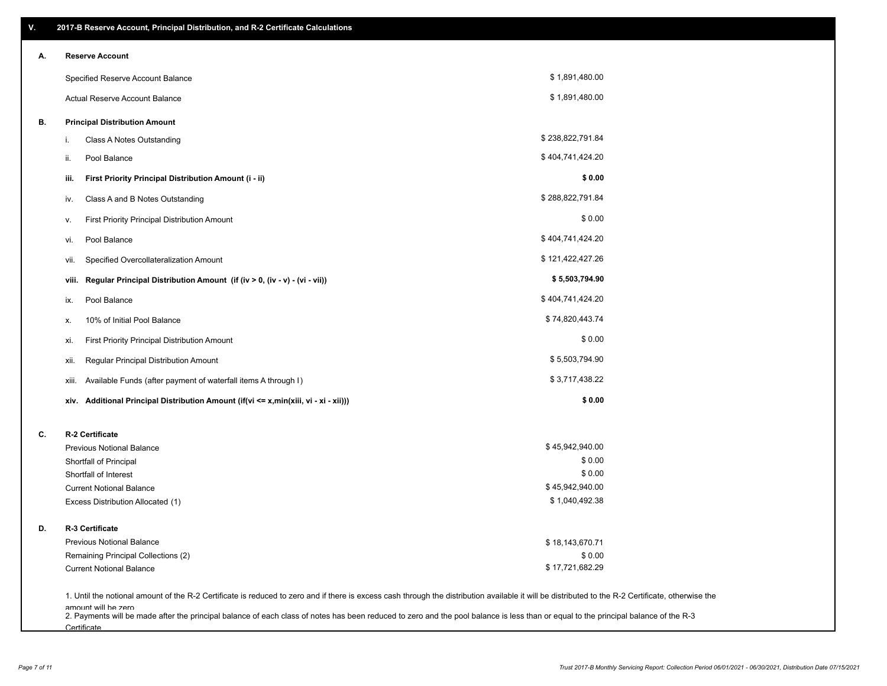| Α. |       | <b>Reserve Account</b>                                                               |                  |  |
|----|-------|--------------------------------------------------------------------------------------|------------------|--|
|    |       | Specified Reserve Account Balance                                                    | \$1,891,480.00   |  |
|    |       | Actual Reserve Account Balance                                                       | \$1,891,480.00   |  |
| В. |       | <b>Principal Distribution Amount</b>                                                 |                  |  |
|    | i.    | Class A Notes Outstanding                                                            | \$238,822,791.84 |  |
|    | ii.   | Pool Balance                                                                         | \$404,741,424.20 |  |
|    | iii.  | First Priority Principal Distribution Amount (i - ii)                                | \$0.00           |  |
|    | iv.   | Class A and B Notes Outstanding                                                      | \$288,822,791.84 |  |
|    | ۷.    | First Priority Principal Distribution Amount                                         | \$0.00           |  |
|    | vi.   | Pool Balance                                                                         | \$404,741,424.20 |  |
|    | vii.  | Specified Overcollateralization Amount                                               | \$121,422,427.26 |  |
|    | viii. | Regular Principal Distribution Amount (if (iv > 0, (iv - v) - (vi - vii))            | \$5,503,794.90   |  |
|    | ix.   | Pool Balance                                                                         | \$404,741,424.20 |  |
|    | х.    | 10% of Initial Pool Balance                                                          | \$74,820,443.74  |  |
|    | xi.   | First Priority Principal Distribution Amount                                         | \$0.00           |  |
|    | xii.  | Regular Principal Distribution Amount                                                | \$5,503,794.90   |  |
|    | xiii. | Available Funds (after payment of waterfall items A through I)                       | \$3,717,438.22   |  |
|    |       | xiv. Additional Principal Distribution Amount (if(vi <= x,min(xiii, vi - xi - xii))) | \$0.00           |  |
| C. |       | R-2 Certificate                                                                      |                  |  |
|    |       | <b>Previous Notional Balance</b>                                                     | \$45,942,940.00  |  |
|    |       | Shortfall of Principal                                                               | \$0.00           |  |
|    |       | Shortfall of Interest                                                                | \$0.00           |  |
|    |       | <b>Current Notional Balance</b>                                                      | \$45,942,940.00  |  |
|    |       | Excess Distribution Allocated (1)                                                    | \$1,040,492.38   |  |
| D. |       | R-3 Certificate                                                                      |                  |  |
|    |       | <b>Previous Notional Balance</b>                                                     | \$18,143,670.71  |  |
|    |       | Remaining Principal Collections (2)                                                  | \$0.00           |  |
|    |       | <b>Current Notional Balance</b>                                                      | \$17,721,682.29  |  |

amount will be zero<br>2. Payments will be made after the principal balance of each class of notes has been reduced to zero and the pool balance is less than or equal to the principal balance of the R-3 **Certificate**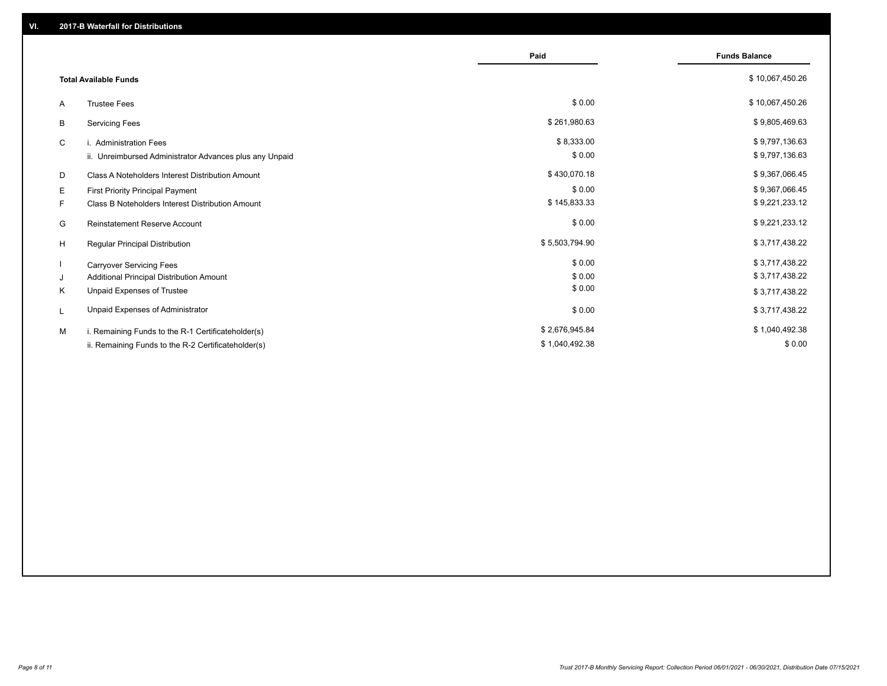|                                                         | Paid           | <b>Funds Balance</b> |
|---------------------------------------------------------|----------------|----------------------|
| <b>Total Available Funds</b>                            |                | \$10,067,450.26      |
| <b>Trustee Fees</b><br>A                                | \$0.00         | \$10,067,450.26      |
| В<br><b>Servicing Fees</b>                              | \$261,980.63   | \$9,805,469.63       |
| C<br>i. Administration Fees                             | \$8,333.00     | \$9,797,136.63       |
| ii. Unreimbursed Administrator Advances plus any Unpaid | \$0.00         | \$9,797,136.63       |
| D<br>Class A Noteholders Interest Distribution Amount   | \$430,070.18   | \$9,367,066.45       |
| Е<br>First Priority Principal Payment                   | \$0.00         | \$9,367,066.45       |
| Class B Noteholders Interest Distribution Amount<br>F.  | \$145,833.33   | \$9,221,233.12       |
| <b>Reinstatement Reserve Account</b><br>G               | \$0.00         | \$9,221,233.12       |
| H<br>Regular Principal Distribution                     | \$5,503,794.90 | \$3,717,438.22       |
| <b>Carryover Servicing Fees</b>                         | \$0.00         | \$3,717,438.22       |
| Additional Principal Distribution Amount<br>J           | \$0.00         | \$3,717,438.22       |
| Κ<br>Unpaid Expenses of Trustee                         | \$0.00         | \$3,717,438.22       |
| Unpaid Expenses of Administrator<br>L                   | \$0.00         | \$3,717,438.22       |
| M<br>i. Remaining Funds to the R-1 Certificateholder(s) | \$2,676,945.84 | \$1,040,492.38       |
| ii. Remaining Funds to the R-2 Certificateholder(s)     | \$1,040,492.38 | \$0.00               |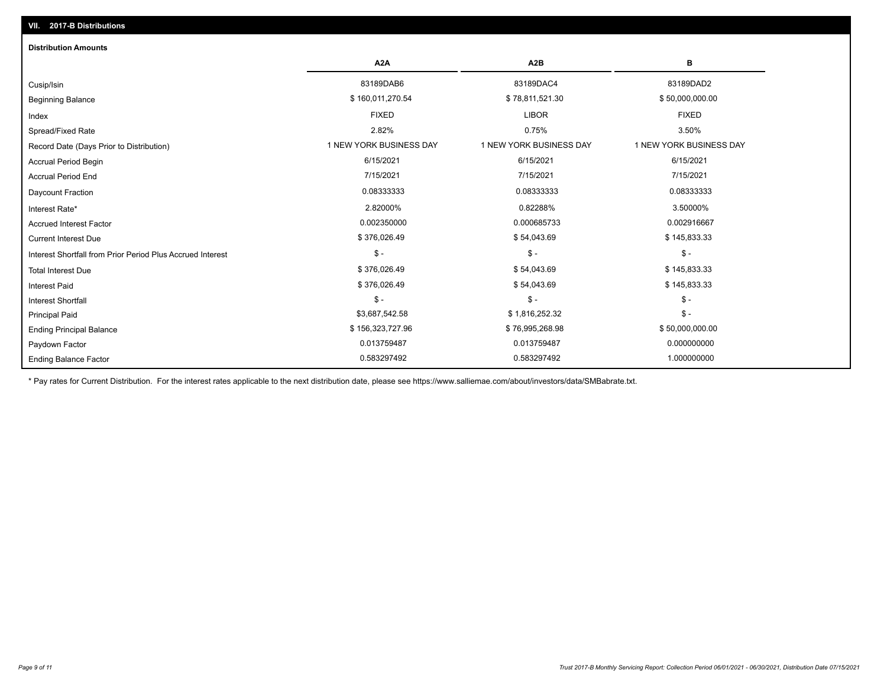| <b>Distribution Amounts</b>                                |                         |                         |                         |
|------------------------------------------------------------|-------------------------|-------------------------|-------------------------|
|                                                            | A <sub>2</sub> A        | A <sub>2</sub> B        | в                       |
| Cusip/Isin                                                 | 83189DAB6               | 83189DAC4               | 83189DAD2               |
| <b>Beginning Balance</b>                                   | \$160,011,270.54        | \$78,811,521.30         | \$50,000,000.00         |
| Index                                                      | <b>FIXED</b>            | <b>LIBOR</b>            | <b>FIXED</b>            |
| Spread/Fixed Rate                                          | 2.82%                   | 0.75%                   | 3.50%                   |
| Record Date (Days Prior to Distribution)                   | 1 NEW YORK BUSINESS DAY | 1 NEW YORK BUSINESS DAY | 1 NEW YORK BUSINESS DAY |
| <b>Accrual Period Begin</b>                                | 6/15/2021               | 6/15/2021               | 6/15/2021               |
| <b>Accrual Period End</b>                                  | 7/15/2021               | 7/15/2021               | 7/15/2021               |
| Daycount Fraction                                          | 0.08333333              | 0.08333333              | 0.08333333              |
| Interest Rate*                                             | 2.82000%                | 0.82288%                | 3.50000%                |
| <b>Accrued Interest Factor</b>                             | 0.002350000             | 0.000685733             | 0.002916667             |
| <b>Current Interest Due</b>                                | \$376,026.49            | \$54,043.69             | \$145,833.33            |
| Interest Shortfall from Prior Period Plus Accrued Interest | $$ -$                   | $\mathsf{\$}$ -         | $\mathsf{\$}$ -         |
| <b>Total Interest Due</b>                                  | \$376,026.49            | \$54,043.69             | \$145,833.33            |
| <b>Interest Paid</b>                                       | \$376,026.49            | \$54,043.69             | \$145,833.33            |
| <b>Interest Shortfall</b>                                  | $$ -$                   | $\frac{2}{3}$ -         | $\mathcal{S}$ -         |
| <b>Principal Paid</b>                                      | \$3,687,542.58          | \$1,816,252.32          | $$ -$                   |
| <b>Ending Principal Balance</b>                            | \$156,323,727.96        | \$76,995,268.98         | \$50,000,000.00         |
| Paydown Factor                                             | 0.013759487             | 0.013759487             | 0.000000000             |
| <b>Ending Balance Factor</b>                               | 0.583297492             | 0.583297492             | 1.000000000             |

\* Pay rates for Current Distribution. For the interest rates applicable to the next distribution date, please see https://www.salliemae.com/about/investors/data/SMBabrate.txt.

**VII. 2017-B Distributions**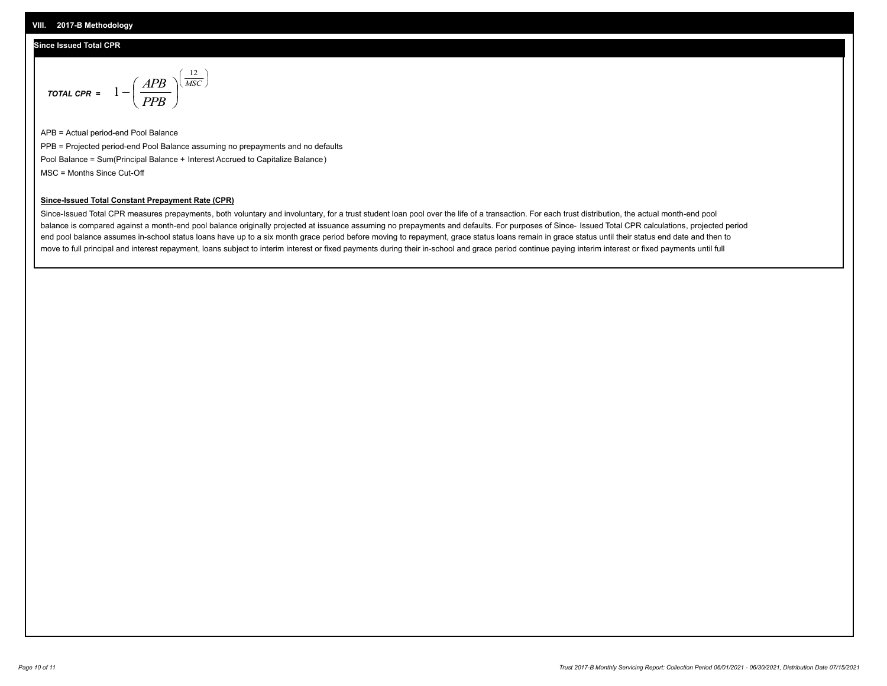#### **VIII. 2017-B Methodology**

#### **Since Issued Total CPR**

$$
\text{total CPR} = 1 - \left(\frac{APB}{PPB}\right)^{\left(\frac{12}{MSC}\right)}
$$

APB = Actual period-end Pool Balance PPB = Projected period-end Pool Balance assuming no prepayments and no defaults Pool Balance = Sum(Principal Balance + Interest Accrued to Capitalize Balance) MSC = Months Since Cut-Off

 $\mathsf{I}$ J λ

### **Since-Issued Total Constant Prepayment Rate (CPR)**

Since-Issued Total CPR measures prepayments, both voluntary and involuntary, for a trust student loan pool over the life of a transaction. For each trust distribution, the actual month-end pool balance is compared against a month-end pool balance originally projected at issuance assuming no prepayments and defaults. For purposes of Since- Issued Total CPR calculations, projected period end pool balance assumes in-school status loans have up to a six month grace period before moving to repayment, grace status loans remain in grace status until their status end date and then to move to full principal and interest repayment, loans subject to interim interest or fixed payments during their in-school and grace period continue paying interim interest or fixed payments until full